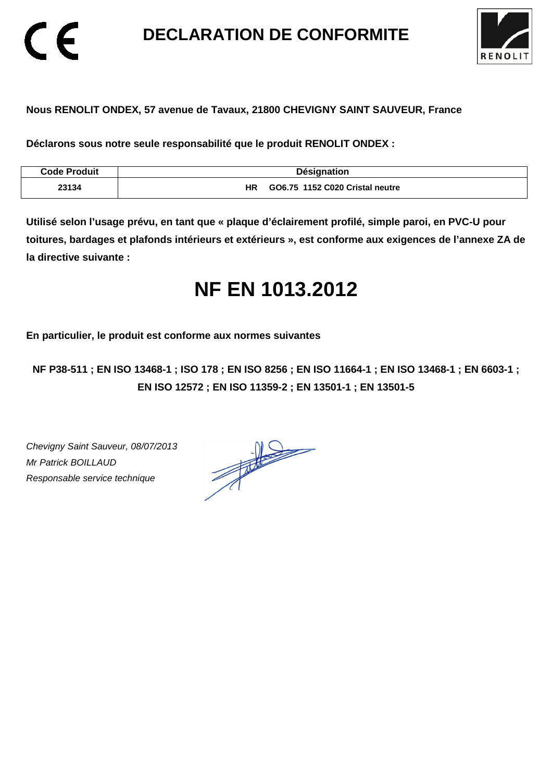**DECLARATION DE CONFORMITE** 



## **Nous RENOLIT ONDEX, 57 avenue de Tavaux, 21800 CHEVIGNY SAINT SAUVEUR, France**

**Déclarons sous notre seule responsabilité que le produit RENOLIT ONDEX :** 

| Code Produit | <b>Désignation</b>                           |
|--------------|----------------------------------------------|
| 23134        | <b>HR</b><br>GO6.75 1152 C020 Cristal neutre |

**Utilisé selon l'usage prévu, en tant que « plaque d'éclairement profilé, simple paroi, en PVC-U pour toitures, bardages et plafonds intérieurs et extérieurs », est conforme aux exigences de l'annexe ZA de la directive suivante :** 

# **NF EN 1013.2012**

**En particulier, le produit est conforme aux normes suivantes** 

**NF P38-511 ; EN ISO 13468-1 ; ISO 178 ; EN ISO 8256 ; EN ISO 11664-1 ; EN ISO 13468-1 ; EN 6603-1 ; EN ISO 12572 ; EN ISO 11359-2 ; EN 13501-1 ; EN 13501-5**

Chevigny Saint Sauveur, 08/07/2013 Mr Patrick BOILLAUD Responsable service technique

 $\epsilon$ 

 $\frac{1}{\sqrt{2\pi}}\int_{0}^{\frac{1}{2}}\frac{dx}{(x-y)^{2}}\,dy\,dy=0$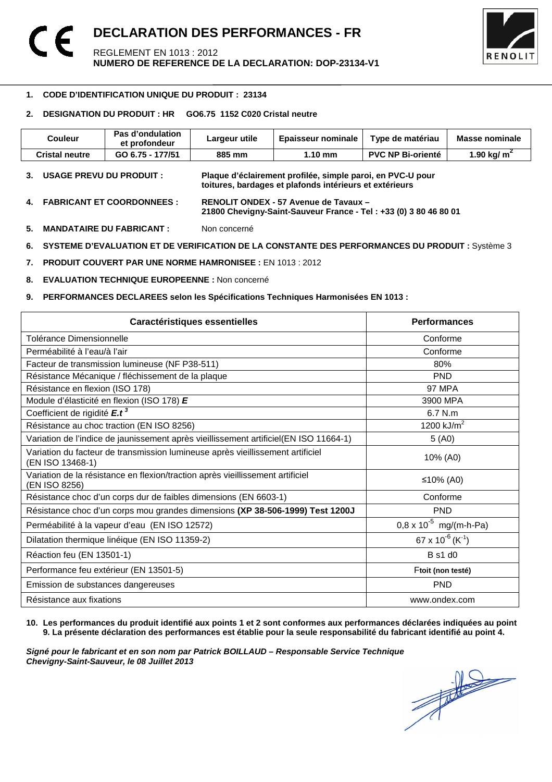

### 1 **1. CODE D'IDENTIFICATION UNIQUE DU PRODUIT : 23134**

## **2. DESIGNATION DU PRODUIT : HR GO6.75 1152 C020 Cristal neutre**

| <b>Couleur</b>                  | Pas d'ondulation<br>et profondeur | Largeur utile | <b>Epaisseur nominale</b>                                                                                             | Type de matériau         | <b>Masse nominale</b> |
|---------------------------------|-----------------------------------|---------------|-----------------------------------------------------------------------------------------------------------------------|--------------------------|-----------------------|
| <b>Cristal neutre</b>           | GO 6.75 - 177/51                  | 885 mm        | $1.10 \text{ mm}$                                                                                                     | <b>PVC NP Bi-orienté</b> | 1.90 kg/ $m^2$        |
| <b>USAGE PREVU DU PRODUIT :</b> |                                   |               | Plaque d'éclairement profilée, simple paroi, en PVC-U pour<br>toitures, bardages et plafonds intérieurs et extérieurs |                          |                       |

- **4. FABRICANT ET COORDONNEES : RENOLIT ONDEX 57 Avenue de Tavaux 21800 Chevigny-Saint-Sauveur France - Tel : +33 (0) 3 80 46 80 01**
- **5. MANDATAIRE DU FABRICANT :** Non concerné
- **6. SYSTEME D'EVALUATION ET DE VERIFICATION DE LA CONSTANTE DES PERFORMANCES DU PRODUIT :** Système 3
- **7. PRODUIT COUVERT PAR UNE NORME HAMRONISEE :** EN 1013 : 2012
- **8. EVALUATION TECHNIQUE EUROPEENNE :** Non concerné
- **9. PERFORMANCES DECLAREES selon les Spécifications Techniques Harmonisées EN 1013 :**

| Caractéristiques essentielles                                                                      | <b>Performances</b>                      |
|----------------------------------------------------------------------------------------------------|------------------------------------------|
| Tolérance Dimensionnelle                                                                           | Conforme                                 |
| Perméabilité à l'eau/à l'air                                                                       | Conforme                                 |
| Facteur de transmission lumineuse (NF P38-511)                                                     | 80%                                      |
| Résistance Mécanique / fléchissement de la plaque                                                  | <b>PND</b>                               |
| Résistance en flexion (ISO 178)                                                                    | <b>97 MPA</b>                            |
| Module d'élasticité en flexion (ISO 178) E                                                         | 3900 MPA                                 |
| Coefficient de rigidité E.t <sup>3</sup>                                                           | $6.7$ N.m.                               |
| Résistance au choc traction (EN ISO 8256)                                                          | 1200 $kJ/m2$                             |
| Variation de l'indice de jaunissement après vieillissement artificiel(EN ISO 11664-1)              | 5(40)                                    |
| Variation du facteur de transmission lumineuse après vieillissement artificiel<br>(EN ISO 13468-1) | 10% (A0)                                 |
| Variation de la résistance en flexion/traction après vieillissement artificiel<br>(EN ISO 8256)    | ≤10% (A0)                                |
| Résistance choc d'un corps dur de faibles dimensions (EN 6603-1)                                   | Conforme                                 |
| Résistance choc d'un corps mou grandes dimensions (XP 38-506-1999) Test 1200J                      | <b>PND</b>                               |
| Perméabilité à la vapeur d'eau (EN ISO 12572)                                                      | $0.8 \times 10^{-5}$ mg/(m-h-Pa)         |
| Dilatation thermique linéique (EN ISO 11359-2)                                                     | 67 x 10 <sup>-6</sup> (K <sup>-1</sup> ) |
| Réaction feu (EN 13501-1)                                                                          | <b>B</b> s1 d0                           |
| Performance feu extérieur (EN 13501-5)                                                             | Ftoit (non testé)                        |
| Emission de substances dangereuses                                                                 | <b>PND</b>                               |
| Résistance aux fixations                                                                           | www.ondex.com                            |

**10. Les performances du produit identifié aux points 1 et 2 sont conformes aux performances déclarées indiquées au point 9. La présente déclaration des performances est établie pour la seule responsabilité du fabricant identifié au point 4.** 

Signé pour le fabricant et en son nom par Patrick BOILLAUD – Responsable Service Technique<br>Chevigny-Saint-Sauveur, le 08 Juillet 2013<br> **Chevigny-Saint-Sauveur, le 08 Juillet 2013 Chevigny-Saint-Sauveur, le 08 Juillet 2013**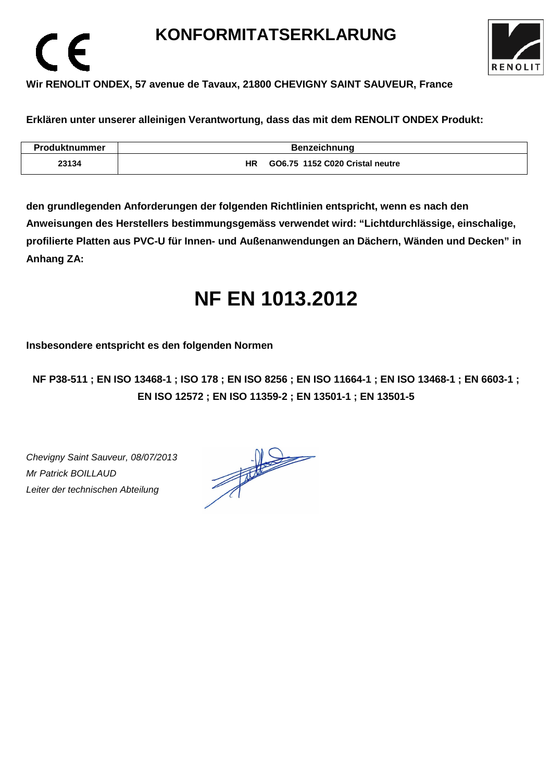# **KONFORMITATSERKLARUNG**



# **Wir RENOLIT ONDEX, 57 avenue de Tavaux, 21800 CHEVIGNY SAINT SAUVEUR, France**

**Erklären unter unserer alleinigen Verantwortung, dass das mit dem RENOLIT ONDEX Produkt:** 

| <b>Produktnummer</b> |    | <b>Benzeichnung</b>             |
|----------------------|----|---------------------------------|
| 23134                | ΗR | GO6.75 1152 C020 Cristal neutre |

**den grundlegenden Anforderungen der folgenden Richtlinien entspricht, wenn es nach den Anweisungen des Herstellers bestimmungsgemäss verwendet wird: "Lichtdurchlässige, einschalige, profilierte Platten aus PVC-U für Innen- und Außenanwendungen an Dächern, Wänden und Decken" in Anhang ZA:** 

# **NF EN 1013.2012**

**Insbesondere entspricht es den folgenden Normen** 

**NF P38-511 ; EN ISO 13468-1 ; ISO 178 ; EN ISO 8256 ; EN ISO 11664-1 ; EN ISO 13468-1 ; EN 6603-1 ; EN ISO 12572 ; EN ISO 11359-2 ; EN 13501-1 ; EN 13501-5**

Chevigny Saint Sauveur, 08/07/2013 Mr Patrick BOILLAUD Leiter der technischen Abteilung

 $\epsilon$ 

 $\frac{1}{\sqrt{1-\frac{1}{2}}}\left\vert \frac{1}{\sqrt{1-\frac{1}{2}}}\right\vert = \frac{1}{\sqrt{1-\frac{1}{2}}}\left\vert \frac{1}{\sqrt{1-\frac{1}{2}}}\right\vert.$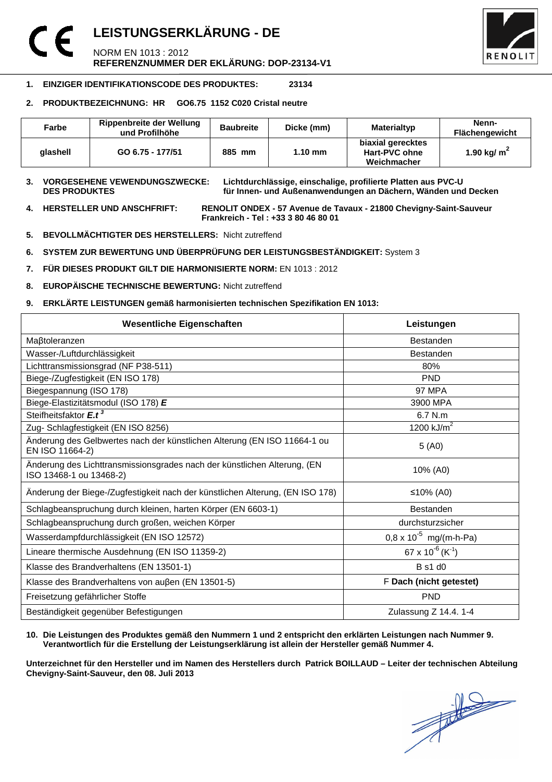# **LEISTUNGSERKLÄRUNG - DE**  NORM EN 1013 : 2012 **REFERENZNUMMER DER EKLÄRUNG: DOP-23134-V1**



## **1. EINZIGER IDENTIFIKATIONSCODE DES PRODUKTES: 23134**

### **2. PRODUKTBEZEICHNUNG: HR GO6.75 1152 C020 Cristal neutre**

| Farbe    | Rippenbreite der Wellung<br>und Profilhöhe | <b>Baubreite</b> | Dicke (mm)        | Materialtyp                                       | Nenn-<br>Flächengewicht |
|----------|--------------------------------------------|------------------|-------------------|---------------------------------------------------|-------------------------|
| alashell | GO 6.75 - 177/51                           | 885 mm           | $1.10 \text{ mm}$ | biaxial gerecktes<br>Hart-PVC ohne<br>Weichmacher | 1.90 kg/ $m2$           |

**3. VORGESEHENE VEWENDUNGSZWECKE: Lichtdurchlässige, einschalige, profilierte Platten aus PVC-U**  für Innen- und Außenanwendungen an Dächern, Wänden und Decken

**4. HERSTELLER UND ANSCHFRIFT: RENOLIT ONDEX - 57 Avenue de Tavaux - 21800 Chevigny-Saint-Sauveur Frankreich - Tel : +33 3 80 46 80 01** 

- **5. BEVOLLMÄCHTIGTER DES HERSTELLERS:** Nicht zutreffend
- **6. SYSTEM ZUR BEWERTUNG UND ÜBERPRÜFUNG DER LEISTUNGSBESTÄNDIGKEIT:** System 3
- **7. FÜR DIESES PRODUKT GILT DIE HARMONISIERTE NORM:** EN 1013 : 2012
- **8. EUROPÄISCHE TECHNISCHE BEWERTUNG:** Nicht zutreffend
- **9. ERKLÄRTE LEISTUNGEN gemäß harmonisierten technischen Spezifikation EN 1013:**

| <b>Wesentliche Eigenschaften</b>                                                                    | Leistungen                               |  |
|-----------------------------------------------------------------------------------------------------|------------------------------------------|--|
| Maßtoleranzen                                                                                       | <b>Bestanden</b>                         |  |
| Wasser-/Luftdurchlässigkeit                                                                         | <b>Bestanden</b>                         |  |
| Lichttransmissionsgrad (NF P38-511)                                                                 | 80%                                      |  |
| Biege-/Zugfestigkeit (EN ISO 178)                                                                   | <b>PND</b>                               |  |
| Biegespannung (ISO 178)                                                                             | <b>97 MPA</b>                            |  |
| Biege-Elastizitätsmodul (ISO 178) E                                                                 | 3900 MPA                                 |  |
| Steifheitsfaktor E.t <sup>3</sup>                                                                   | 6.7 N.m                                  |  |
| Zug- Schlagfestigkeit (EN ISO 8256)                                                                 | 1200 $kJ/m2$                             |  |
| Änderung des Gelbwertes nach der künstlichen Alterung (EN ISO 11664-1 ou<br>EN ISO 11664-2)         | 5(40)                                    |  |
| Änderung des Lichttransmissionsgrades nach der künstlichen Alterung, (EN<br>ISO 13468-1 ou 13468-2) | 10% (A0)                                 |  |
| Änderung der Biege-/Zugfestigkeit nach der künstlichen Alterung, (EN ISO 178)                       | ≤10% (A0)                                |  |
| Schlagbeanspruchung durch kleinen, harten Körper (EN 6603-1)                                        | Bestanden                                |  |
| Schlagbeanspruchung durch großen, weichen Körper                                                    | durchsturzsicher                         |  |
| Wasserdampfdurchlässigkeit (EN ISO 12572)                                                           | $0.8 \times 10^{-5}$ mg/(m-h-Pa)         |  |
| Lineare thermische Ausdehnung (EN ISO 11359-2)                                                      | 67 x 10 <sup>-6</sup> (K <sup>-1</sup> ) |  |
| Klasse des Brandverhaltens (EN 13501-1)                                                             | B s1 d0                                  |  |
| Klasse des Brandverhaltens von außen (EN 13501-5)                                                   | F Dach (nicht getestet)                  |  |
| Freisetzung gefährlicher Stoffe                                                                     | <b>PND</b>                               |  |
| Beständigkeit gegenüber Befestigungen                                                               | Zulassung Z 14.4. 1-4                    |  |

### **10. Die Leistungen des Produktes gemäß den Nummern 1 und 2 entspricht den erklärten Leistungen nach Nummer 9. Verantwortlich für die Erstellung der Leistungserklärung ist allein der Hersteller gemäß Nummer 4.**

**Unterzeichnet für den Hersteller und im Namen des Herstellers durch Patrick BOILLAUD – Leiter der technischen Abteilung Chevigny-Saint-Sauveur, den 08. Juli 2013**

 $\frac{1}{\sqrt{2}}$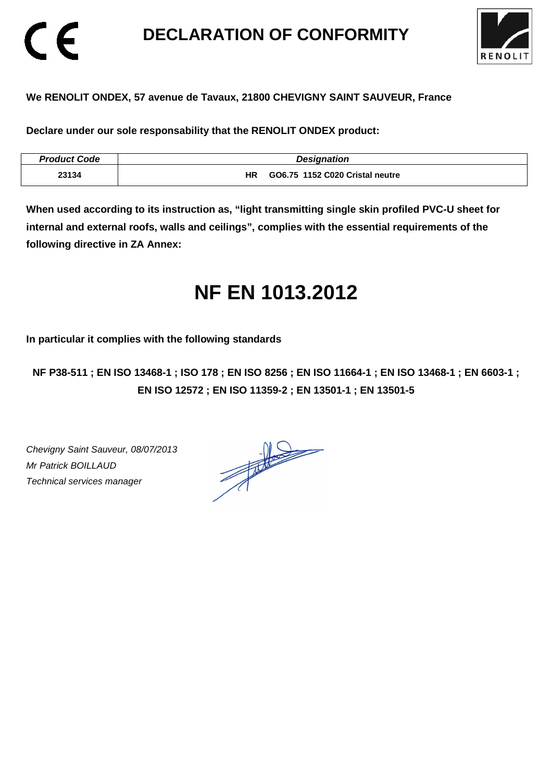# **DECLARATION OF CONFORMITY**



## **We RENOLIT ONDEX, 57 avenue de Tavaux, 21800 CHEVIGNY SAINT SAUVEUR, France**

**Declare under our sole responsability that the RENOLIT ONDEX product:** 

| <b>Product Code</b> | <b>Designation</b>                    |
|---------------------|---------------------------------------|
| 23134               | GO6.75 1152 C020 Cristal neutre<br>ΗR |

**When used according to its instruction as, "light transmitting single skin profiled PVC-U sheet for internal and external roofs, walls and ceilings", complies with the essential requirements of the following directive in ZA Annex:** 

# **NF EN 1013.2012**

**In particular it complies with the following standards** 

**NF P38-511 ; EN ISO 13468-1 ; ISO 178 ; EN ISO 8256 ; EN ISO 11664-1 ; EN ISO 13468-1 ; EN 6603-1 ; EN ISO 12572 ; EN ISO 11359-2 ; EN 13501-1 ; EN 13501-5**

Chevigny Saint Sauveur, 08/07/2013 Mr Patrick BOILLAUD Technical services manager

CE

 $\frac{1}{\sqrt{2}}$